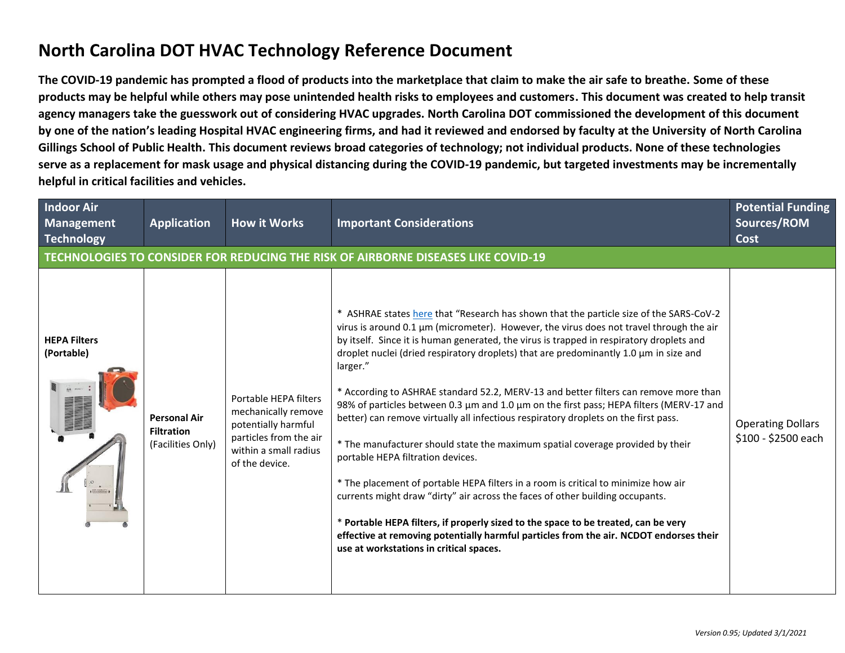## **North Carolina DOT HVAC Technology Reference Document**

**The COVID-19 pandemic has prompted a flood of products into the marketplace that claim to make the air safe to breathe. Some of these products may be helpful while others may pose unintended health risks to employees and customers. This document was created to help transit agency managers take the guesswork out of considering HVAC upgrades. North Carolina DOT commissioned the development of this document by one of the nation's leading Hospital HVAC engineering firms, and had it reviewed and endorsed by faculty at the University of North Carolina Gillings School of Public Health. This document reviews broad categories of technology; not individual products. None of these technologies serve as a replacement for mask usage and physical distancing during the COVID-19 pandemic, but targeted investments may be incrementally helpful in critical facilities and vehicles.**

| <b>Indoor Air</b><br><b>Management</b><br><b>Technology</b> | <b>Application</b>                                            | <b>How it Works</b>                                                                                                                      | <b>Important Considerations</b>                                                                                                                                                                                                                                                                                                                                                                                                                                                                                                                                                                                                                                                                                                                                                                                                                                                                                                                                                                                                                                                                                                                                                            | <b>Potential Funding</b><br>Sources/ROM<br><b>Cost</b> |
|-------------------------------------------------------------|---------------------------------------------------------------|------------------------------------------------------------------------------------------------------------------------------------------|--------------------------------------------------------------------------------------------------------------------------------------------------------------------------------------------------------------------------------------------------------------------------------------------------------------------------------------------------------------------------------------------------------------------------------------------------------------------------------------------------------------------------------------------------------------------------------------------------------------------------------------------------------------------------------------------------------------------------------------------------------------------------------------------------------------------------------------------------------------------------------------------------------------------------------------------------------------------------------------------------------------------------------------------------------------------------------------------------------------------------------------------------------------------------------------------|--------------------------------------------------------|
|                                                             |                                                               |                                                                                                                                          | TECHNOLOGIES TO CONSIDER FOR REDUCING THE RISK OF AIRBORNE DISEASES LIKE COVID-19                                                                                                                                                                                                                                                                                                                                                                                                                                                                                                                                                                                                                                                                                                                                                                                                                                                                                                                                                                                                                                                                                                          |                                                        |
| <b>HEPA Filters</b><br>(Portable)                           | <b>Personal Air</b><br><b>Filtration</b><br>(Facilities Only) | Portable HEPA filters<br>mechanically remove<br>potentially harmful<br>particles from the air<br>within a small radius<br>of the device. | * ASHRAE states here that "Research has shown that the particle size of the SARS-CoV-2<br>virus is around $0.1 \mu m$ (micrometer). However, the virus does not travel through the air<br>by itself. Since it is human generated, the virus is trapped in respiratory droplets and<br>droplet nuclei (dried respiratory droplets) that are predominantly 1.0 µm in size and<br>larger."<br>* According to ASHRAE standard 52.2, MERV-13 and better filters can remove more than<br>98% of particles between 0.3 µm and 1.0 µm on the first pass; HEPA filters (MERV-17 and<br>better) can remove virtually all infectious respiratory droplets on the first pass.<br>* The manufacturer should state the maximum spatial coverage provided by their<br>portable HEPA filtration devices.<br>* The placement of portable HEPA filters in a room is critical to minimize how air<br>currents might draw "dirty" air across the faces of other building occupants.<br>* Portable HEPA filters, if properly sized to the space to be treated, can be very<br>effective at removing potentially harmful particles from the air. NCDOT endorses their<br>use at workstations in critical spaces. | <b>Operating Dollars</b><br>\$100 - \$2500 each        |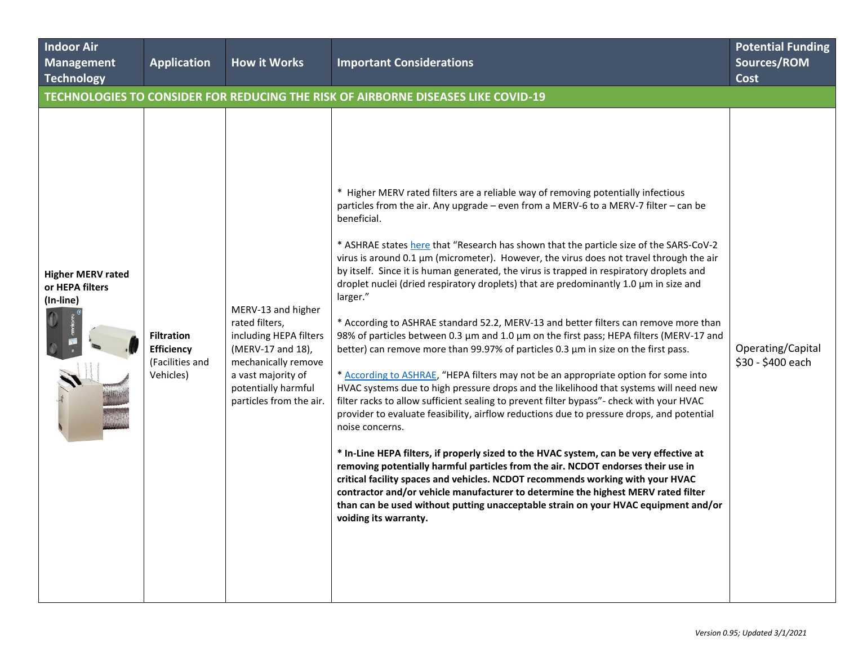| <b>Indoor Air</b><br>Management<br>Technology            | <b>Application</b>                                                     | <b>How it Works</b>                                                                                                                                                                | <b>Important Considerations</b>                                                                                                                                                                                                                                                                                                                                                                                                                                                                                                                                                                                                                                                                                                                                                                                                                                                                                                                                                                                                                                                                                                                                                                                                                                                                                                                                                                                                                                                                                                                                                                                                                                                                                                   | <b>Potential Funding</b><br>Sources/ROM<br><b>Cost</b> |
|----------------------------------------------------------|------------------------------------------------------------------------|------------------------------------------------------------------------------------------------------------------------------------------------------------------------------------|-----------------------------------------------------------------------------------------------------------------------------------------------------------------------------------------------------------------------------------------------------------------------------------------------------------------------------------------------------------------------------------------------------------------------------------------------------------------------------------------------------------------------------------------------------------------------------------------------------------------------------------------------------------------------------------------------------------------------------------------------------------------------------------------------------------------------------------------------------------------------------------------------------------------------------------------------------------------------------------------------------------------------------------------------------------------------------------------------------------------------------------------------------------------------------------------------------------------------------------------------------------------------------------------------------------------------------------------------------------------------------------------------------------------------------------------------------------------------------------------------------------------------------------------------------------------------------------------------------------------------------------------------------------------------------------------------------------------------------------|--------------------------------------------------------|
|                                                          |                                                                        |                                                                                                                                                                                    | TECHNOLOGIES TO CONSIDER FOR REDUCING THE RISK OF AIRBORNE DISEASES LIKE COVID-19                                                                                                                                                                                                                                                                                                                                                                                                                                                                                                                                                                                                                                                                                                                                                                                                                                                                                                                                                                                                                                                                                                                                                                                                                                                                                                                                                                                                                                                                                                                                                                                                                                                 |                                                        |
| <b>Higher MERV rated</b><br>or HEPA filters<br>(In-line) | <b>Filtration</b><br><b>Efficiency</b><br>(Facilities and<br>Vehicles) | MERV-13 and higher<br>rated filters,<br>including HEPA filters<br>(MERV-17 and 18),<br>mechanically remove<br>a vast majority of<br>potentially harmful<br>particles from the air. | * Higher MERV rated filters are a reliable way of removing potentially infectious<br>particles from the air. Any upgrade – even from a MERV-6 to a MERV-7 filter – can be<br>beneficial.<br>* ASHRAE states here that "Research has shown that the particle size of the SARS-CoV-2<br>virus is around $0.1 \mu m$ (micrometer). However, the virus does not travel through the air<br>by itself. Since it is human generated, the virus is trapped in respiratory droplets and<br>droplet nuclei (dried respiratory droplets) that are predominantly 1.0 $\mu$ m in size and<br>larger."<br>* According to ASHRAE standard 52.2, MERV-13 and better filters can remove more than<br>98% of particles between 0.3 µm and 1.0 µm on the first pass; HEPA filters (MERV-17 and<br>better) can remove more than 99.97% of particles 0.3 µm in size on the first pass.<br>* According to ASHRAE, "HEPA filters may not be an appropriate option for some into<br>HVAC systems due to high pressure drops and the likelihood that systems will need new<br>filter racks to allow sufficient sealing to prevent filter bypass"- check with your HVAC<br>provider to evaluate feasibility, airflow reductions due to pressure drops, and potential<br>noise concerns.<br>* In-Line HEPA filters, if properly sized to the HVAC system, can be very effective at<br>removing potentially harmful particles from the air. NCDOT endorses their use in<br>critical facility spaces and vehicles. NCDOT recommends working with your HVAC<br>contractor and/or vehicle manufacturer to determine the highest MERV rated filter<br>than can be used without putting unacceptable strain on your HVAC equipment and/or<br>voiding its warranty. | Operating/Capital<br>\$30 - \$400 each                 |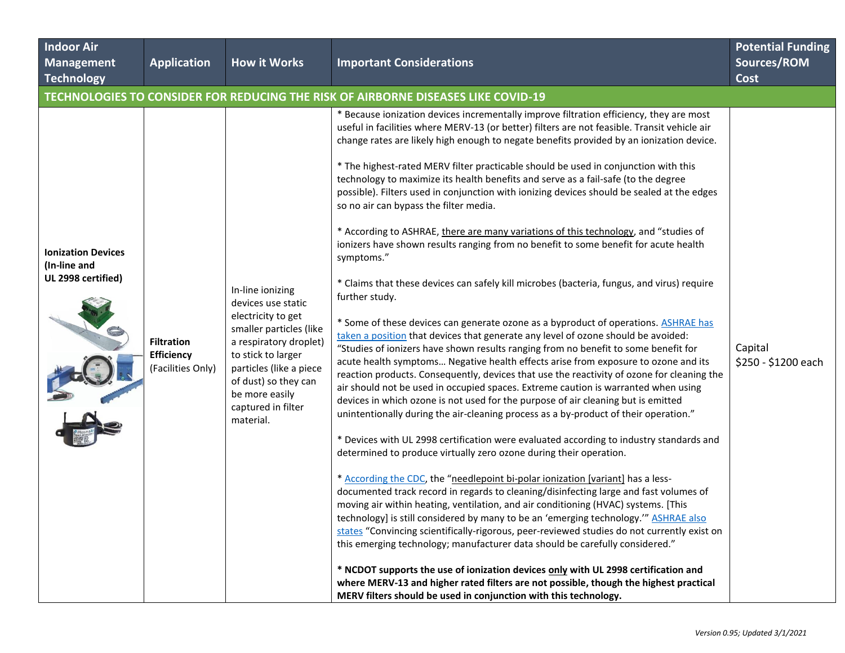| <b>Indoor Air</b><br><b>Management</b><br><b>Technology</b>     | <b>Application</b>                                          | <b>How it Works</b>                                                                                                                                                                                                                             | <b>Important Considerations</b>                                                                                                                                                                                                                                                                                                                                                                                                                                                                                                                                                                                                                                                                                                                                                                                                                                                                                                                                                                                                                                                                                                                                                                                                                                                                                                                                                                                                                                                                                                                                                                                                                                                                                                                                                                                                                                                                                                                                                                                                                                                                                                                                                                                                                                                                                                                                                                                                                                                                                                                                                                              | <b>Potential Funding</b><br>Sources/ROM<br><b>Cost</b> |
|-----------------------------------------------------------------|-------------------------------------------------------------|-------------------------------------------------------------------------------------------------------------------------------------------------------------------------------------------------------------------------------------------------|--------------------------------------------------------------------------------------------------------------------------------------------------------------------------------------------------------------------------------------------------------------------------------------------------------------------------------------------------------------------------------------------------------------------------------------------------------------------------------------------------------------------------------------------------------------------------------------------------------------------------------------------------------------------------------------------------------------------------------------------------------------------------------------------------------------------------------------------------------------------------------------------------------------------------------------------------------------------------------------------------------------------------------------------------------------------------------------------------------------------------------------------------------------------------------------------------------------------------------------------------------------------------------------------------------------------------------------------------------------------------------------------------------------------------------------------------------------------------------------------------------------------------------------------------------------------------------------------------------------------------------------------------------------------------------------------------------------------------------------------------------------------------------------------------------------------------------------------------------------------------------------------------------------------------------------------------------------------------------------------------------------------------------------------------------------------------------------------------------------------------------------------------------------------------------------------------------------------------------------------------------------------------------------------------------------------------------------------------------------------------------------------------------------------------------------------------------------------------------------------------------------------------------------------------------------------------------------------------------------|--------------------------------------------------------|
|                                                                 |                                                             |                                                                                                                                                                                                                                                 | TECHNOLOGIES TO CONSIDER FOR REDUCING THE RISK OF AIRBORNE DISEASES LIKE COVID-19                                                                                                                                                                                                                                                                                                                                                                                                                                                                                                                                                                                                                                                                                                                                                                                                                                                                                                                                                                                                                                                                                                                                                                                                                                                                                                                                                                                                                                                                                                                                                                                                                                                                                                                                                                                                                                                                                                                                                                                                                                                                                                                                                                                                                                                                                                                                                                                                                                                                                                                            |                                                        |
| <b>Ionization Devices</b><br>(In-line and<br>UL 2998 certified) | <b>Filtration</b><br><b>Efficiency</b><br>(Facilities Only) | In-line ionizing<br>devices use static<br>electricity to get<br>smaller particles (like<br>a respiratory droplet)<br>to stick to larger<br>particles (like a piece<br>of dust) so they can<br>be more easily<br>captured in filter<br>material. | * Because ionization devices incrementally improve filtration efficiency, they are most<br>useful in facilities where MERV-13 (or better) filters are not feasible. Transit vehicle air<br>change rates are likely high enough to negate benefits provided by an ionization device.<br>* The highest-rated MERV filter practicable should be used in conjunction with this<br>technology to maximize its health benefits and serve as a fail-safe (to the degree<br>possible). Filters used in conjunction with ionizing devices should be sealed at the edges<br>so no air can bypass the filter media.<br>* According to ASHRAE, there are many variations of this technology, and "studies of<br>ionizers have shown results ranging from no benefit to some benefit for acute health<br>symptoms."<br>* Claims that these devices can safely kill microbes (bacteria, fungus, and virus) require<br>further study.<br>* Some of these devices can generate ozone as a byproduct of operations. ASHRAE has<br>taken a position that devices that generate any level of ozone should be avoided:<br>"Studies of ionizers have shown results ranging from no benefit to some benefit for<br>acute health symptoms Negative health effects arise from exposure to ozone and its<br>reaction products. Consequently, devices that use the reactivity of ozone for cleaning the<br>air should not be used in occupied spaces. Extreme caution is warranted when using<br>devices in which ozone is not used for the purpose of air cleaning but is emitted<br>unintentionally during the air-cleaning process as a by-product of their operation."<br>* Devices with UL 2998 certification were evaluated according to industry standards and<br>determined to produce virtually zero ozone during their operation.<br>* According the CDC, the "needlepoint bi-polar ionization [variant] has a less-<br>documented track record in regards to cleaning/disinfecting large and fast volumes of<br>moving air within heating, ventilation, and air conditioning (HVAC) systems. [This<br>technology] is still considered by many to be an 'emerging technology." ASHRAE also<br>states "Convincing scientifically-rigorous, peer-reviewed studies do not currently exist on<br>this emerging technology; manufacturer data should be carefully considered."<br>* NCDOT supports the use of ionization devices only with UL 2998 certification and<br>where MERV-13 and higher rated filters are not possible, though the highest practical<br>MERV filters should be used in conjunction with this technology. | Capital<br>\$250 - \$1200 each                         |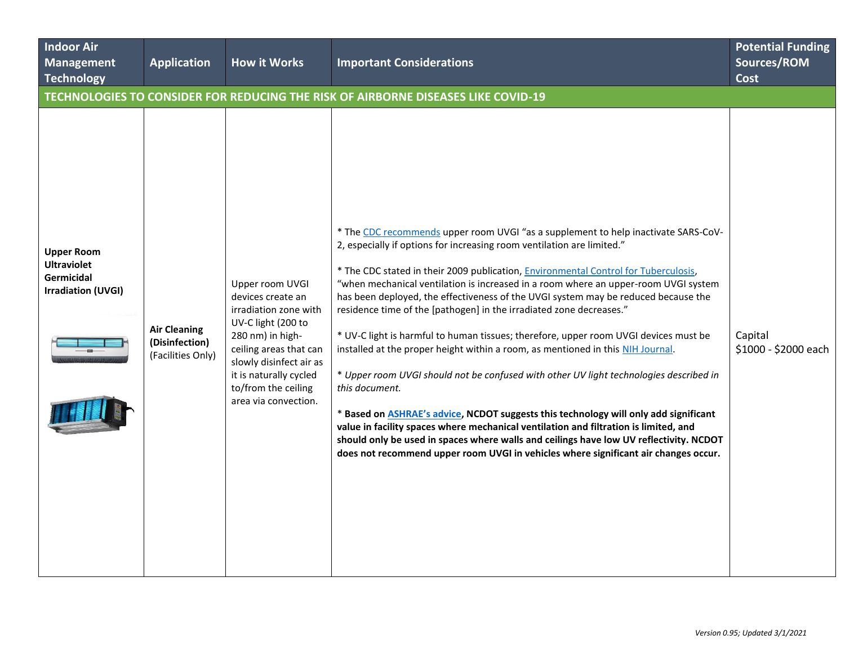| <b>Indoor Air</b><br><b>Management</b><br><b>Technology</b>                        | <b>Application</b>                                         | <b>How it Works</b>                                                                                                                                                                                                                   | <b>Important Considerations</b>                                                                                                                                                                                                                                                                                                                                                                                                                                                                                                                                                                                                                                                                                                                                                                                                                                                                                                                                                                                                                                                                                                                                                 | <b>Potential Funding</b><br>Sources/ROM<br><b>Cost</b> |
|------------------------------------------------------------------------------------|------------------------------------------------------------|---------------------------------------------------------------------------------------------------------------------------------------------------------------------------------------------------------------------------------------|---------------------------------------------------------------------------------------------------------------------------------------------------------------------------------------------------------------------------------------------------------------------------------------------------------------------------------------------------------------------------------------------------------------------------------------------------------------------------------------------------------------------------------------------------------------------------------------------------------------------------------------------------------------------------------------------------------------------------------------------------------------------------------------------------------------------------------------------------------------------------------------------------------------------------------------------------------------------------------------------------------------------------------------------------------------------------------------------------------------------------------------------------------------------------------|--------------------------------------------------------|
|                                                                                    |                                                            |                                                                                                                                                                                                                                       | TECHNOLOGIES TO CONSIDER FOR REDUCING THE RISK OF AIRBORNE DISEASES LIKE COVID-19                                                                                                                                                                                                                                                                                                                                                                                                                                                                                                                                                                                                                                                                                                                                                                                                                                                                                                                                                                                                                                                                                               |                                                        |
| <b>Upper Room</b><br><b>Ultraviolet</b><br>Germicidal<br><b>Irradiation (UVGI)</b> | <b>Air Cleaning</b><br>(Disinfection)<br>(Facilities Only) | Upper room UVGI<br>devices create an<br>irradiation zone with<br>UV-C light (200 to<br>280 nm) in high-<br>ceiling areas that can<br>slowly disinfect air as<br>it is naturally cycled<br>to/from the ceiling<br>area via convection. | * The CDC recommends upper room UVGI "as a supplement to help inactivate SARS-CoV-<br>2, especially if options for increasing room ventilation are limited."<br>* The CDC stated in their 2009 publication, <i>Environmental Control for Tuberculosis</i> ,<br>"when mechanical ventilation is increased in a room where an upper-room UVGI system<br>has been deployed, the effectiveness of the UVGI system may be reduced because the<br>residence time of the [pathogen] in the irradiated zone decreases."<br>* UV-C light is harmful to human tissues; therefore, upper room UVGI devices must be<br>installed at the proper height within a room, as mentioned in this NIH Journal.<br>* Upper room UVGI should not be confused with other UV light technologies described in<br>this document.<br>* Based on <b>ASHRAE's advice</b> , NCDOT suggests this technology will only add significant<br>value in facility spaces where mechanical ventilation and filtration is limited, and<br>should only be used in spaces where walls and ceilings have low UV reflectivity. NCDOT<br>does not recommend upper room UVGI in vehicles where significant air changes occur. | Capital<br>\$1000 - \$2000 each                        |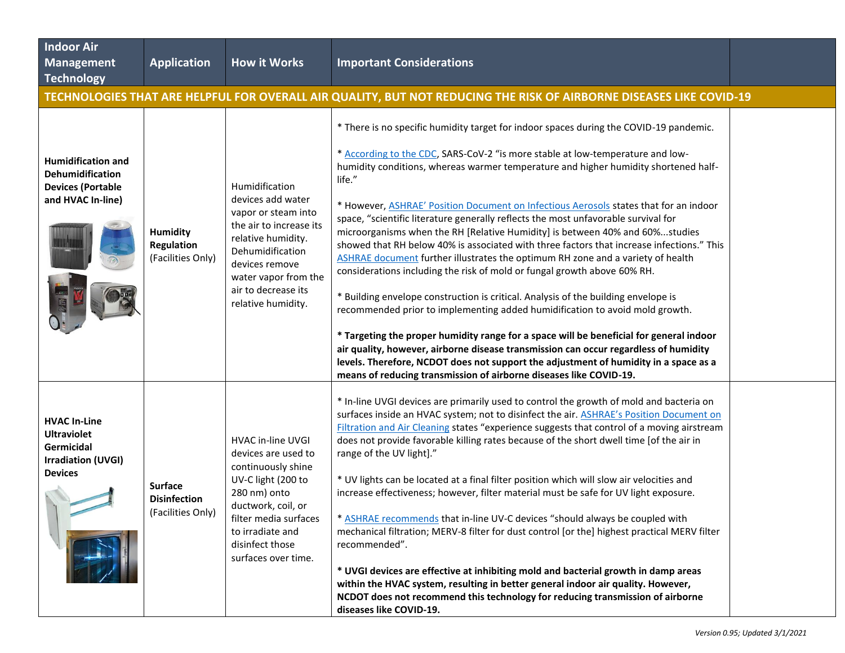| <b>Indoor Air</b><br><b>Management</b><br>Technology                                                   | <b>Application</b>                                         | <b>How it Works</b>                                                                                                                                                                                                    | <b>Important Considerations</b>                                                                                                                                                                                                                                                                                                                                                                                                                                                                                                                                                                                                                                                                                                                                                                                                                                                                                                                                                                                                                                                                                                                                                                                                                                                                                             |  |
|--------------------------------------------------------------------------------------------------------|------------------------------------------------------------|------------------------------------------------------------------------------------------------------------------------------------------------------------------------------------------------------------------------|-----------------------------------------------------------------------------------------------------------------------------------------------------------------------------------------------------------------------------------------------------------------------------------------------------------------------------------------------------------------------------------------------------------------------------------------------------------------------------------------------------------------------------------------------------------------------------------------------------------------------------------------------------------------------------------------------------------------------------------------------------------------------------------------------------------------------------------------------------------------------------------------------------------------------------------------------------------------------------------------------------------------------------------------------------------------------------------------------------------------------------------------------------------------------------------------------------------------------------------------------------------------------------------------------------------------------------|--|
|                                                                                                        |                                                            |                                                                                                                                                                                                                        | TECHNOLOGIES THAT ARE HELPFUL FOR OVERALL AIR QUALITY, BUT NOT REDUCING THE RISK OF AIRBORNE DISEASES LIKE COVID-19                                                                                                                                                                                                                                                                                                                                                                                                                                                                                                                                                                                                                                                                                                                                                                                                                                                                                                                                                                                                                                                                                                                                                                                                         |  |
| <b>Humidification and</b><br><b>Dehumidification</b><br><b>Devices (Portable</b><br>and HVAC In-line)  | <b>Humidity</b><br><b>Regulation</b><br>(Facilities Only)  | Humidification<br>devices add water<br>vapor or steam into<br>the air to increase its<br>relative humidity.<br>Dehumidification<br>devices remove<br>water vapor from the<br>air to decrease its<br>relative humidity. | * There is no specific humidity target for indoor spaces during the COVID-19 pandemic.<br>* According to the CDC, SARS-CoV-2 "is more stable at low-temperature and low-<br>humidity conditions, whereas warmer temperature and higher humidity shortened half-<br>life."<br>* However, ASHRAE' Position Document on Infectious Aerosols states that for an indoor<br>space, "scientific literature generally reflects the most unfavorable survival for<br>microorganisms when the RH [Relative Humidity] is between 40% and 60%studies<br>showed that RH below 40% is associated with three factors that increase infections." This<br>ASHRAE document further illustrates the optimum RH zone and a variety of health<br>considerations including the risk of mold or fungal growth above 60% RH.<br>* Building envelope construction is critical. Analysis of the building envelope is<br>recommended prior to implementing added humidification to avoid mold growth.<br>* Targeting the proper humidity range for a space will be beneficial for general indoor<br>air quality, however, airborne disease transmission can occur regardless of humidity<br>levels. Therefore, NCDOT does not support the adjustment of humidity in a space as a<br>means of reducing transmission of airborne diseases like COVID-19. |  |
| <b>HVAC In-Line</b><br><b>Ultraviolet</b><br>Germicidal<br><b>Irradiation (UVGI)</b><br><b>Devices</b> | <b>Surface</b><br><b>Disinfection</b><br>(Facilities Only) | HVAC in-line UVGI<br>devices are used to<br>continuously shine<br>UV-C light (200 to<br>280 nm) onto<br>ductwork, coil, or<br>filter media surfaces<br>to irradiate and<br>disinfect those<br>surfaces over time.      | * In-line UVGI devices are primarily used to control the growth of mold and bacteria on<br>surfaces inside an HVAC system; not to disinfect the air. ASHRAE's Position Document on<br>Filtration and Air Cleaning states "experience suggests that control of a moving airstream<br>does not provide favorable killing rates because of the short dwell time [of the air in<br>range of the UV light]."<br>* UV lights can be located at a final filter position which will slow air velocities and<br>increase effectiveness; however, filter material must be safe for UV light exposure.<br>* ASHRAE recommends that in-line UV-C devices "should always be coupled with<br>mechanical filtration; MERV-8 filter for dust control [or the] highest practical MERV filter<br>recommended".<br>* UVGI devices are effective at inhibiting mold and bacterial growth in damp areas<br>within the HVAC system, resulting in better general indoor air quality. However,<br>NCDOT does not recommend this technology for reducing transmission of airborne<br>diseases like COVID-19.                                                                                                                                                                                                                                         |  |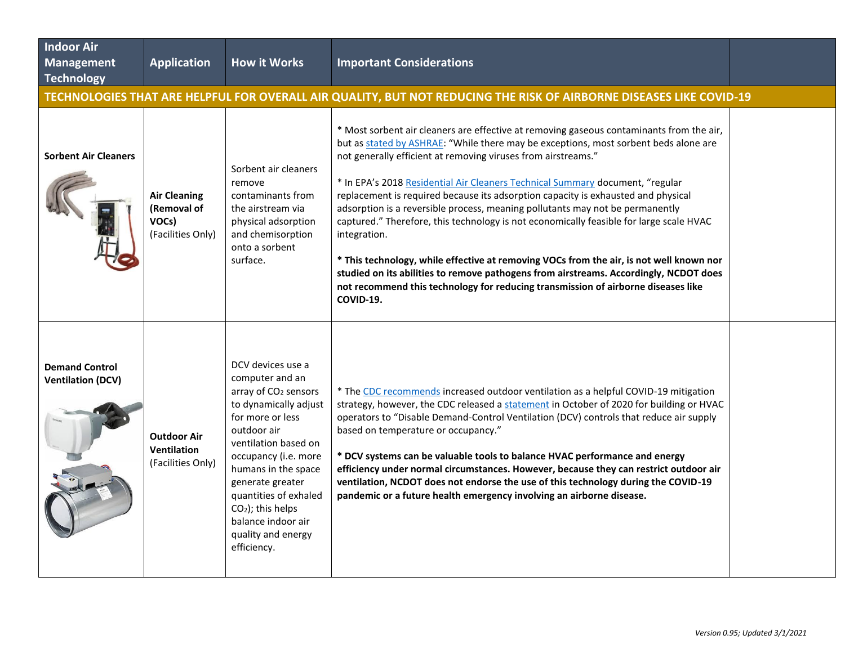| <b>Indoor Air</b><br><b>Management</b><br><b>Technology</b> | <b>Application</b>                                               | <b>How it Works</b>                                                                                                                                                                                                                                                                                                                        | <b>Important Considerations</b>                                                                                                                                                                                                                                                                                                                                                                                                                                                                                                                                                                                                                                                                                                                                                                                                                                                                           |  |
|-------------------------------------------------------------|------------------------------------------------------------------|--------------------------------------------------------------------------------------------------------------------------------------------------------------------------------------------------------------------------------------------------------------------------------------------------------------------------------------------|-----------------------------------------------------------------------------------------------------------------------------------------------------------------------------------------------------------------------------------------------------------------------------------------------------------------------------------------------------------------------------------------------------------------------------------------------------------------------------------------------------------------------------------------------------------------------------------------------------------------------------------------------------------------------------------------------------------------------------------------------------------------------------------------------------------------------------------------------------------------------------------------------------------|--|
|                                                             |                                                                  |                                                                                                                                                                                                                                                                                                                                            | TECHNOLOGIES THAT ARE HELPFUL FOR OVERALL AIR QUALITY, BUT NOT REDUCING THE RISK OF AIRBORNE DISEASES LIKE COVID-19                                                                                                                                                                                                                                                                                                                                                                                                                                                                                                                                                                                                                                                                                                                                                                                       |  |
| <b>Sorbent Air Cleaners</b>                                 | <b>Air Cleaning</b><br>(Removal of<br>VOCs)<br>(Facilities Only) | Sorbent air cleaners<br>remove<br>contaminants from<br>the airstream via<br>physical adsorption<br>and chemisorption<br>onto a sorbent<br>surface.                                                                                                                                                                                         | * Most sorbent air cleaners are effective at removing gaseous contaminants from the air,<br>but as stated by ASHRAE: "While there may be exceptions, most sorbent beds alone are<br>not generally efficient at removing viruses from airstreams."<br>* In EPA's 2018 Residential Air Cleaners Technical Summary document, "regular<br>replacement is required because its adsorption capacity is exhausted and physical<br>adsorption is a reversible process, meaning pollutants may not be permanently<br>captured." Therefore, this technology is not economically feasible for large scale HVAC<br>integration.<br>* This technology, while effective at removing VOCs from the air, is not well known nor<br>studied on its abilities to remove pathogens from airstreams. Accordingly, NCDOT does<br>not recommend this technology for reducing transmission of airborne diseases like<br>COVID-19. |  |
| <b>Demand Control</b><br><b>Ventilation (DCV)</b>           | <b>Outdoor Air</b><br><b>Ventilation</b><br>(Facilities Only)    | DCV devices use a<br>computer and an<br>array of CO <sub>2</sub> sensors<br>to dynamically adjust<br>for more or less<br>outdoor air<br>ventilation based on<br>occupancy (i.e. more<br>humans in the space<br>generate greater<br>quantities of exhaled<br>$CO2$ ); this helps<br>balance indoor air<br>quality and energy<br>efficiency. | * The CDC recommends increased outdoor ventilation as a helpful COVID-19 mitigation<br>strategy, however, the CDC released a statement in October of 2020 for building or HVAC<br>operators to "Disable Demand-Control Ventilation (DCV) controls that reduce air supply<br>based on temperature or occupancy."<br>* DCV systems can be valuable tools to balance HVAC performance and energy<br>efficiency under normal circumstances. However, because they can restrict outdoor air<br>ventilation, NCDOT does not endorse the use of this technology during the COVID-19<br>pandemic or a future health emergency involving an airborne disease.                                                                                                                                                                                                                                                      |  |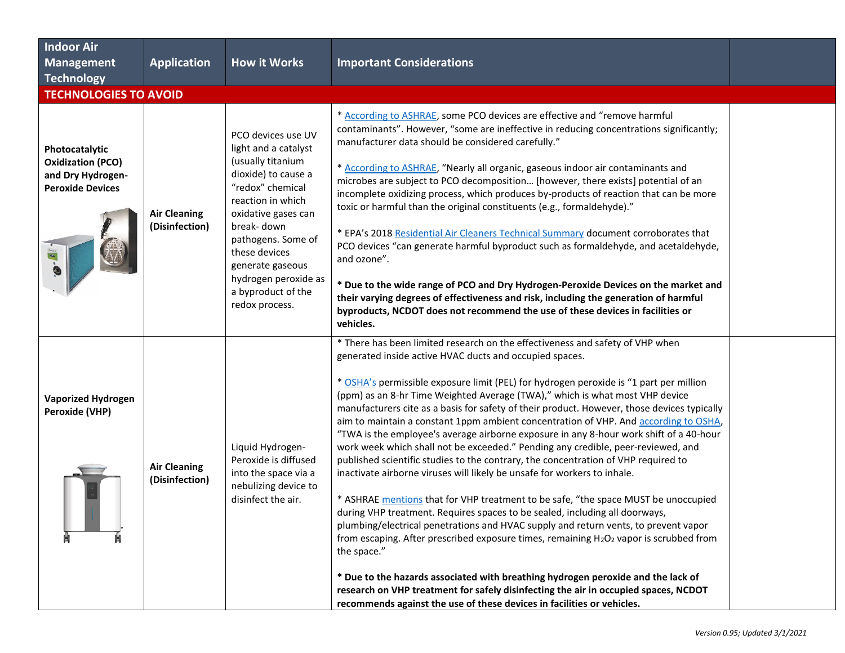| <b>Indoor Air</b><br><b>Management</b><br>Technology                                       | <b>Application</b>                    | <b>How it Works</b>                                                                                                                                                                                                                                                                             | <b>Important Considerations</b>                                                                                                                                                                                                                                                                                                                                                                                                                                                                                                                                                                                                                                                                                                                                                                                                                                                                                                                                                                                                                                                                                                                                                                                                                                                                                                                                                                                                                                                                             |  |
|--------------------------------------------------------------------------------------------|---------------------------------------|-------------------------------------------------------------------------------------------------------------------------------------------------------------------------------------------------------------------------------------------------------------------------------------------------|-------------------------------------------------------------------------------------------------------------------------------------------------------------------------------------------------------------------------------------------------------------------------------------------------------------------------------------------------------------------------------------------------------------------------------------------------------------------------------------------------------------------------------------------------------------------------------------------------------------------------------------------------------------------------------------------------------------------------------------------------------------------------------------------------------------------------------------------------------------------------------------------------------------------------------------------------------------------------------------------------------------------------------------------------------------------------------------------------------------------------------------------------------------------------------------------------------------------------------------------------------------------------------------------------------------------------------------------------------------------------------------------------------------------------------------------------------------------------------------------------------------|--|
| <b>TECHNOLOGIES TO AVOID</b>                                                               |                                       |                                                                                                                                                                                                                                                                                                 |                                                                                                                                                                                                                                                                                                                                                                                                                                                                                                                                                                                                                                                                                                                                                                                                                                                                                                                                                                                                                                                                                                                                                                                                                                                                                                                                                                                                                                                                                                             |  |
| Photocatalytic<br><b>Oxidization (PCO)</b><br>and Dry Hydrogen-<br><b>Peroxide Devices</b> | <b>Air Cleaning</b><br>(Disinfection) | PCO devices use UV<br>light and a catalyst<br>(usually titanium<br>dioxide) to cause a<br>"redox" chemical<br>reaction in which<br>oxidative gases can<br>break-down<br>pathogens. Some of<br>these devices<br>generate gaseous<br>hydrogen peroxide as<br>a byproduct of the<br>redox process. | * According to ASHRAE, some PCO devices are effective and "remove harmful<br>contaminants". However, "some are ineffective in reducing concentrations significantly;<br>manufacturer data should be considered carefully."<br>* According to ASHRAE, "Nearly all organic, gaseous indoor air contaminants and<br>microbes are subject to PCO decomposition [however, there exists] potential of an<br>incomplete oxidizing process, which produces by-products of reaction that can be more<br>toxic or harmful than the original constituents (e.g., formaldehyde)."<br>* EPA's 2018 Residential Air Cleaners Technical Summary document corroborates that<br>PCO devices "can generate harmful byproduct such as formaldehyde, and acetaldehyde,<br>and ozone".<br>* Due to the wide range of PCO and Dry Hydrogen-Peroxide Devices on the market and<br>their varying degrees of effectiveness and risk, including the generation of harmful<br>byproducts, NCDOT does not recommend the use of these devices in facilities or<br>vehicles.                                                                                                                                                                                                                                                                                                                                                                                                                                                              |  |
| <b>Vaporized Hydrogen</b><br>Peroxide (VHP)                                                | <b>Air Cleaning</b><br>(Disinfection) | Liquid Hydrogen-<br>Peroxide is diffused<br>into the space via a<br>nebulizing device to<br>disinfect the air.                                                                                                                                                                                  | * There has been limited research on the effectiveness and safety of VHP when<br>generated inside active HVAC ducts and occupied spaces.<br>* OSHA's permissible exposure limit (PEL) for hydrogen peroxide is "1 part per million<br>(ppm) as an 8-hr Time Weighted Average (TWA)," which is what most VHP device<br>manufacturers cite as a basis for safety of their product. However, those devices typically<br>aim to maintain a constant 1ppm ambient concentration of VHP. And according to OSHA,<br>"TWA is the employee's average airborne exposure in any 8-hour work shift of a 40-hour<br>work week which shall not be exceeded." Pending any credible, peer-reviewed, and<br>published scientific studies to the contrary, the concentration of VHP required to<br>inactivate airborne viruses will likely be unsafe for workers to inhale.<br>* ASHRAE mentions that for VHP treatment to be safe, "the space MUST be unoccupied<br>during VHP treatment. Requires spaces to be sealed, including all doorways.<br>plumbing/electrical penetrations and HVAC supply and return vents, to prevent vapor<br>from escaping. After prescribed exposure times, remaining H <sub>2</sub> O <sub>2</sub> vapor is scrubbed from<br>the space."<br>* Due to the hazards associated with breathing hydrogen peroxide and the lack of<br>research on VHP treatment for safely disinfecting the air in occupied spaces, NCDOT<br>recommends against the use of these devices in facilities or vehicles. |  |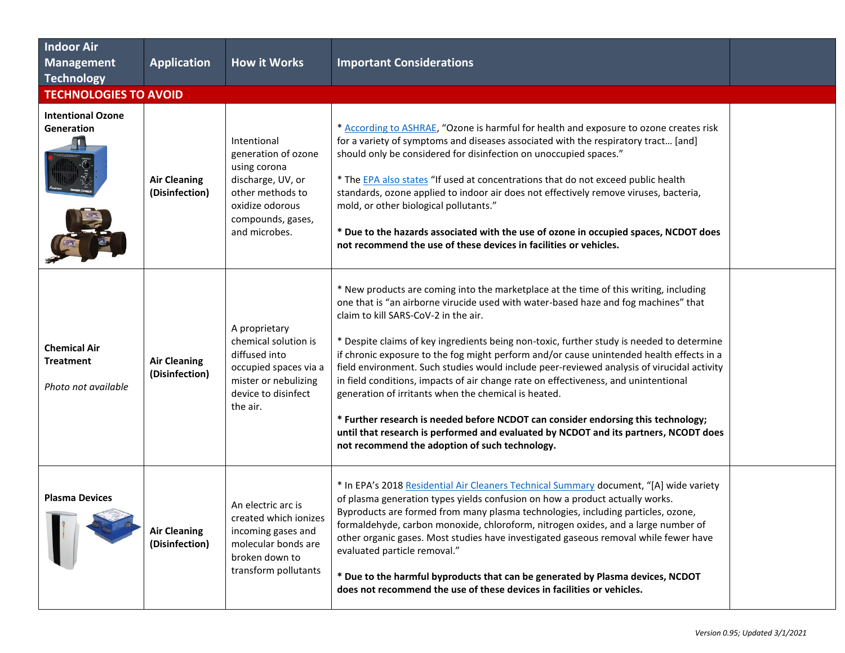| <b>Indoor Air</b><br><b>Management</b><br>Technology           | <b>Application</b>                    | <b>How it Works</b>                                                                                                                                  | <b>Important Considerations</b>                                                                                                                                                                                                                                                                                                                                                                                                                                                                                                                                                                                                                                                                                                                                                                                                                                                           |  |  |  |  |
|----------------------------------------------------------------|---------------------------------------|------------------------------------------------------------------------------------------------------------------------------------------------------|-------------------------------------------------------------------------------------------------------------------------------------------------------------------------------------------------------------------------------------------------------------------------------------------------------------------------------------------------------------------------------------------------------------------------------------------------------------------------------------------------------------------------------------------------------------------------------------------------------------------------------------------------------------------------------------------------------------------------------------------------------------------------------------------------------------------------------------------------------------------------------------------|--|--|--|--|
|                                                                | <b>TECHNOLOGIES TO AVOID</b>          |                                                                                                                                                      |                                                                                                                                                                                                                                                                                                                                                                                                                                                                                                                                                                                                                                                                                                                                                                                                                                                                                           |  |  |  |  |
| <b>Intentional Ozone</b><br>Generation                         | <b>Air Cleaning</b><br>(Disinfection) | Intentional<br>generation of ozone<br>using corona<br>discharge, UV, or<br>other methods to<br>oxidize odorous<br>compounds, gases,<br>and microbes. | * According to ASHRAE, "Ozone is harmful for health and exposure to ozone creates risk<br>for a variety of symptoms and diseases associated with the respiratory tract [and]<br>should only be considered for disinfection on unoccupied spaces."<br>* The <b>EPA</b> also states "If used at concentrations that do not exceed public health<br>standards, ozone applied to indoor air does not effectively remove viruses, bacteria,<br>mold, or other biological pollutants."<br>* Due to the hazards associated with the use of ozone in occupied spaces, NCDOT does<br>not recommend the use of these devices in facilities or vehicles.                                                                                                                                                                                                                                             |  |  |  |  |
| <b>Chemical Air</b><br><b>Treatment</b><br>Photo not available | <b>Air Cleaning</b><br>(Disinfection) | A proprietary<br>chemical solution is<br>diffused into<br>occupied spaces via a<br>mister or nebulizing<br>device to disinfect<br>the air.           | * New products are coming into the marketplace at the time of this writing, including<br>one that is "an airborne virucide used with water-based haze and fog machines" that<br>claim to kill SARS-CoV-2 in the air.<br>* Despite claims of key ingredients being non-toxic, further study is needed to determine<br>if chronic exposure to the fog might perform and/or cause unintended health effects in a<br>field environment. Such studies would include peer-reviewed analysis of virucidal activity<br>in field conditions, impacts of air change rate on effectiveness, and unintentional<br>generation of irritants when the chemical is heated.<br>* Further research is needed before NCDOT can consider endorsing this technology;<br>until that research is performed and evaluated by NCDOT and its partners, NCODT does<br>not recommend the adoption of such technology. |  |  |  |  |
| <b>Plasma Devices</b>                                          | <b>Air Cleaning</b><br>(Disinfection) | An electric arc is<br>created which ionizes<br>incoming gases and<br>molecular bonds are<br>broken down to<br>transform pollutants                   | * In EPA's 2018 Residential Air Cleaners Technical Summary document, "[A] wide variety<br>of plasma generation types yields confusion on how a product actually works.<br>Byproducts are formed from many plasma technologies, including particles, ozone,<br>formaldehyde, carbon monoxide, chloroform, nitrogen oxides, and a large number of<br>other organic gases. Most studies have investigated gaseous removal while fewer have<br>evaluated particle removal."<br>* Due to the harmful byproducts that can be generated by Plasma devices, NCDOT<br>does not recommend the use of these devices in facilities or vehicles.                                                                                                                                                                                                                                                       |  |  |  |  |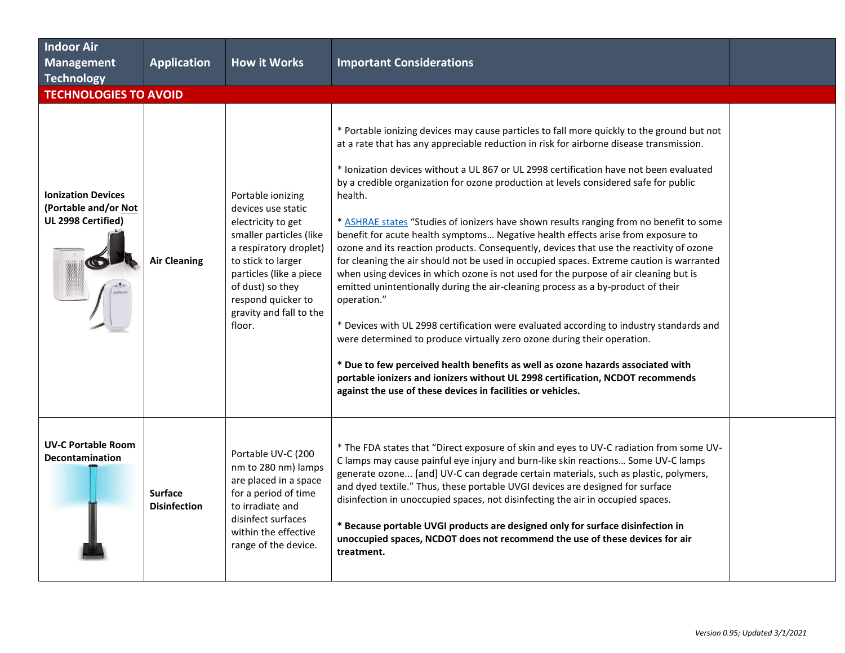| <b>Indoor Air</b><br>Management<br><b>Technology</b>                    | <b>Application</b>                    | <b>How it Works</b>                                                                                                                                                                                                                                | <b>Important Considerations</b>                                                                                                                                                                                                                                                                                                                                                                                                                                                                                                                                                                                                                                                                                                                                                                                                                                                                                                                                                                                                                                                                                                                                                                                                                                                                                                                               |  |
|-------------------------------------------------------------------------|---------------------------------------|----------------------------------------------------------------------------------------------------------------------------------------------------------------------------------------------------------------------------------------------------|---------------------------------------------------------------------------------------------------------------------------------------------------------------------------------------------------------------------------------------------------------------------------------------------------------------------------------------------------------------------------------------------------------------------------------------------------------------------------------------------------------------------------------------------------------------------------------------------------------------------------------------------------------------------------------------------------------------------------------------------------------------------------------------------------------------------------------------------------------------------------------------------------------------------------------------------------------------------------------------------------------------------------------------------------------------------------------------------------------------------------------------------------------------------------------------------------------------------------------------------------------------------------------------------------------------------------------------------------------------|--|
| <b>TECHNOLOGIES TO AVOID</b>                                            |                                       |                                                                                                                                                                                                                                                    |                                                                                                                                                                                                                                                                                                                                                                                                                                                                                                                                                                                                                                                                                                                                                                                                                                                                                                                                                                                                                                                                                                                                                                                                                                                                                                                                                               |  |
| <b>Ionization Devices</b><br>(Portable and/or Not<br>UL 2998 Certified) | <b>Air Cleaning</b>                   | Portable ionizing<br>devices use static<br>electricity to get<br>smaller particles (like<br>a respiratory droplet)<br>to stick to larger<br>particles (like a piece<br>of dust) so they<br>respond quicker to<br>gravity and fall to the<br>floor. | * Portable ionizing devices may cause particles to fall more quickly to the ground but not<br>at a rate that has any appreciable reduction in risk for airborne disease transmission.<br>* Ionization devices without a UL 867 or UL 2998 certification have not been evaluated<br>by a credible organization for ozone production at levels considered safe for public<br>health.<br>* ASHRAE states "Studies of ionizers have shown results ranging from no benefit to some<br>benefit for acute health symptoms Negative health effects arise from exposure to<br>ozone and its reaction products. Consequently, devices that use the reactivity of ozone<br>for cleaning the air should not be used in occupied spaces. Extreme caution is warranted<br>when using devices in which ozone is not used for the purpose of air cleaning but is<br>emitted unintentionally during the air-cleaning process as a by-product of their<br>operation."<br>* Devices with UL 2998 certification were evaluated according to industry standards and<br>were determined to produce virtually zero ozone during their operation.<br>* Due to few perceived health benefits as well as ozone hazards associated with<br>portable ionizers and ionizers without UL 2998 certification, NCDOT recommends<br>against the use of these devices in facilities or vehicles. |  |
| <b>UV-C Portable Room</b><br><b>Decontamination</b>                     | <b>Surface</b><br><b>Disinfection</b> | Portable UV-C (200<br>nm to 280 nm) lamps<br>are placed in a space<br>for a period of time<br>to irradiate and<br>disinfect surfaces<br>within the effective<br>range of the device.                                                               | * The FDA states that "Direct exposure of skin and eyes to UV-C radiation from some UV-<br>C lamps may cause painful eye injury and burn-like skin reactions Some UV-C lamps<br>generate ozone [and] UV-C can degrade certain materials, such as plastic, polymers,<br>and dyed textile." Thus, these portable UVGI devices are designed for surface<br>disinfection in unoccupied spaces, not disinfecting the air in occupied spaces.<br>* Because portable UVGI products are designed only for surface disinfection in<br>unoccupied spaces, NCDOT does not recommend the use of these devices for air<br>treatment.                                                                                                                                                                                                                                                                                                                                                                                                                                                                                                                                                                                                                                                                                                                                       |  |